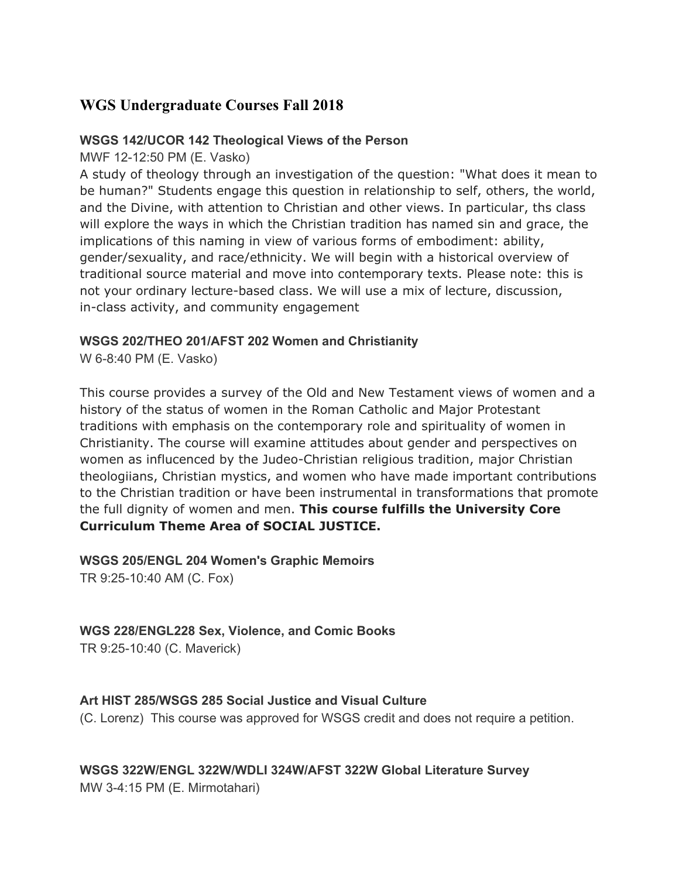# **WGS Undergraduate Courses Fall 2018**

#### **WSGS 142/UCOR 142 Theological Views of the Person**

MWF 12-12:50 PM (E. Vasko)

A study of theology through an investigation of the question: "What does it mean to be human?" Students engage this question in relationship to self, others, the world, and the Divine, with attention to Christian and other views. In particular, ths class will explore the ways in which the Christian tradition has named sin and grace, the implications of this naming in view of various forms of embodiment: ability, gender/sexuality, and race/ethnicity. We will begin with a historical overview of traditional source material and move into contemporary texts. Please note: this is not your ordinary lecture-based class. We will use a mix of lecture, discussion, in-class activity, and community engagement

#### **WSGS 202/THEO 201/AFST 202 Women and Christianity**

W 6-8:40 PM (E. Vasko)

This course provides a survey of the Old and New Testament views of women and a history of the status of women in the Roman Catholic and Major Protestant traditions with emphasis on the contemporary role and spirituality of women in Christianity. The course will examine attitudes about gender and perspectives on women as influcenced by the Judeo-Christian religious tradition, major Christian theologiians, Christian mystics, and women who have made important contributions to the Christian tradition or have been instrumental in transformations that promote the full dignity of women and men. **This course fulfills the University Core Curriculum Theme Area of SOCIAL JUSTICE.**

# **WSGS 205/ENGL 204 Women's Graphic Memoirs**

TR 9:25-10:40 AM (C. Fox)

## **WGS 228/ENGL228 Sex, Violence, and Comic Books**

TR 9:25-10:40 (C. Maverick)

#### **Art HIST 285/WSGS 285 Social Justice and Visual Culture**

(C. Lorenz) This course was approved for WSGS credit and does not require a petition.

# **WSGS 322W/ENGL 322W/WDLI 324W/AFST 322W Global Literature Survey**

MW 3-4:15 PM (E. Mirmotahari)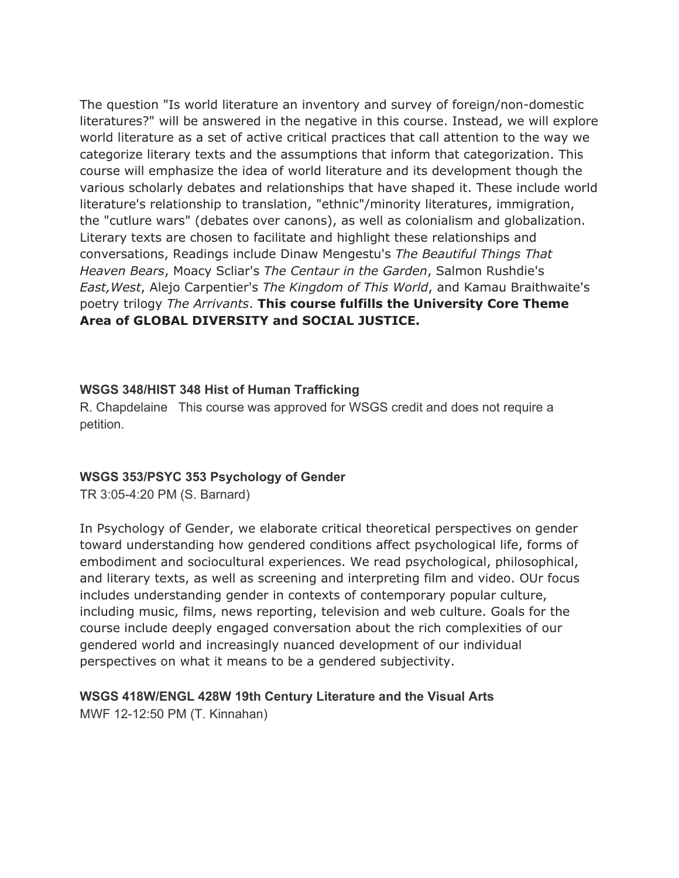The question "Is world literature an inventory and survey of foreign/non-domestic literatures?" will be answered in the negative in this course. Instead, we will explore world literature as a set of active critical practices that call attention to the way we categorize literary texts and the assumptions that inform that categorization. This course will emphasize the idea of world literature and its development though the various scholarly debates and relationships that have shaped it. These include world literature's relationship to translation, "ethnic"/minority literatures, immigration, the "cutlure wars" (debates over canons), as well as colonialism and globalization. Literary texts are chosen to facilitate and highlight these relationships and conversations, Readings include Dinaw Mengestu's *The Beautiful Things That Heaven Bears*, Moacy Scliar's *The Centaur in the Garden*, Salmon Rushdie's *East,West*, Alejo Carpentier's *The Kingdom of This World*, and Kamau Braithwaite's poetry trilogy *The Arrivants*. **This course fulfills the University Core Theme Area of GLOBAL DIVERSITY and SOCIAL JUSTICE.**

#### **WSGS 348/HIST 348 Hist of Human Trafficking**

R. Chapdelaine This course was approved for WSGS credit and does not require a petition.

#### **WSGS 353/PSYC 353 Psychology of Gender**

TR 3:05-4:20 PM (S. Barnard)

In Psychology of Gender, we elaborate critical theoretical perspectives on gender toward understanding how gendered conditions affect psychological life, forms of embodiment and sociocultural experiences. We read psychological, philosophical, and literary texts, as well as screening and interpreting film and video. OUr focus includes understanding gender in contexts of contemporary popular culture, including music, films, news reporting, television and web culture. Goals for the course include deeply engaged conversation about the rich complexities of our gendered world and increasingly nuanced development of our individual perspectives on what it means to be a gendered subjectivity.

# **WSGS 418W/ENGL 428W 19th Century Literature and the Visual Arts**

MWF 12-12:50 PM (T. Kinnahan)